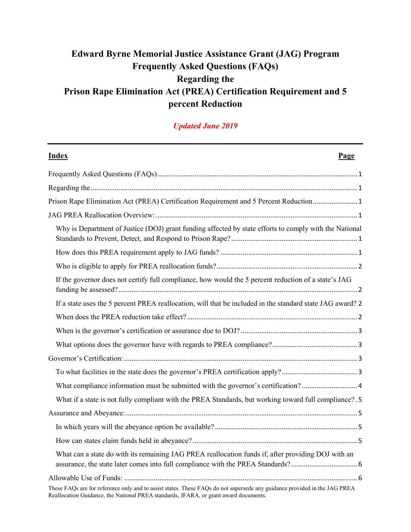# **Edward Byrne Memorial Justice Assistance Grant (JAG) Program Frequently Asked Questions (FAQs) Regarding the Prison Rape Elimination Act (PREA) Certification Requirement and 5 percent Reduction**

### *Updated June 2019*

| <b>Index</b><br>Page                                                                                                                                                                                              |  |  |  |  |
|-------------------------------------------------------------------------------------------------------------------------------------------------------------------------------------------------------------------|--|--|--|--|
|                                                                                                                                                                                                                   |  |  |  |  |
|                                                                                                                                                                                                                   |  |  |  |  |
| Prison Rape Elimination Act (PREA) Certification Requirement and 5 Percent Reduction 1                                                                                                                            |  |  |  |  |
|                                                                                                                                                                                                                   |  |  |  |  |
| Why is Department of Justice (DOJ) grant funding affected by state efforts to comply with the National                                                                                                            |  |  |  |  |
|                                                                                                                                                                                                                   |  |  |  |  |
|                                                                                                                                                                                                                   |  |  |  |  |
| If the governor does not certify full compliance, how would the 5 percent reduction of a state's JAG                                                                                                              |  |  |  |  |
| If a state uses the 5 percent PREA reallocation, will that be included in the standard state JAG award? 2                                                                                                         |  |  |  |  |
|                                                                                                                                                                                                                   |  |  |  |  |
|                                                                                                                                                                                                                   |  |  |  |  |
|                                                                                                                                                                                                                   |  |  |  |  |
|                                                                                                                                                                                                                   |  |  |  |  |
|                                                                                                                                                                                                                   |  |  |  |  |
| What compliance information must be submitted with the governor's certification? 4                                                                                                                                |  |  |  |  |
| What if a state is not fully compliant with the PREA Standards, but working toward full compliance? . 5                                                                                                           |  |  |  |  |
|                                                                                                                                                                                                                   |  |  |  |  |
|                                                                                                                                                                                                                   |  |  |  |  |
|                                                                                                                                                                                                                   |  |  |  |  |
| What can a state do with its remaining JAG PREA reallocation funds if, after providing DOJ with an                                                                                                                |  |  |  |  |
|                                                                                                                                                                                                                   |  |  |  |  |
| These FAQs are for reference only and to assist states. These FAQs do not supersede any guidance provided in the JAG PREA<br>Reallocation Guidance, the National PREA standards, JFARA, or grant award documents. |  |  |  |  |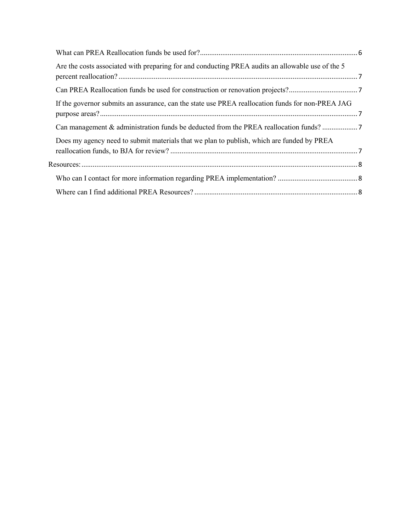| Are the costs associated with preparing for and conducting PREA audits an allowable use of the 5 |  |
|--------------------------------------------------------------------------------------------------|--|
|                                                                                                  |  |
| If the governor submits an assurance, can the state use PREA reallocation funds for non-PREA JAG |  |
| Can management & administration funds be deducted from the PREA reallocation funds? 7            |  |
| Does my agency need to submit materials that we plan to publish, which are funded by PREA        |  |
|                                                                                                  |  |
|                                                                                                  |  |
|                                                                                                  |  |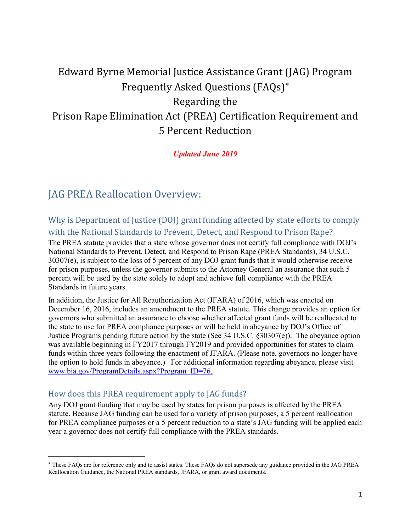# <span id="page-2-2"></span><span id="page-2-1"></span><span id="page-2-0"></span>Edward Byrne Memorial Justice Assistance Grant (JAG) Program Frequently Asked Questions (FAQs)[∗](#page-2-6) Regarding the Prison Rape Elimination Act (PREA) Certification Requirement and 5 Percent Reduction

*Updated June 2019*

# <span id="page-2-3"></span>JAG PREA Reallocation Overview:

<span id="page-2-4"></span>Why is Department of Justice (DOJ) grant funding affected by state efforts to comply with the National Standards to Prevent, Detect, and Respond to Prison Rape?

The PREA statute provides that a state whose governor does not certify full compliance with DOJ's National Standards to Prevent, Detect, and Respond to Prison Rape (PREA Standards), 34 U.S.C. 30307(e), is subject to the loss of 5 percent of any DOJ grant funds that it would otherwise receive for prison purposes, unless the governor submits to the Attorney General an assurance that such 5 percent will be used by the state solely to adopt and achieve full compliance with the PREA Standards in future years.

In addition, the Justice for All Reauthorization Act (JFARA) of 2016, which was enacted on December 16, 2016, includes an amendment to the PREA statute. This change provides an option for governors who submitted an assurance to choose whether affected grant funds will be reallocated to the state to use for PREA compliance purposes or will be held in abeyance by DOJ's Office of Justice Programs pending future action by the state (See 34 U.S.C. §30307(e)). The abeyance option was available beginning in FY2017 through FY2019 and provided opportunities for states to claim funds within three years following the enactment of JFARA. (Please note, governors no longer have the option to hold funds in abeyance.) For additional information regarding abeyance, please visit [www.bja.gov/ProgramDetails.aspx?Program\\_ID=76.](http://www.bja.gov/ProgramDetails.aspx?Program_ID=76)

### <span id="page-2-5"></span>How does this PREA requirement apply to JAG funds?

l

Any DOJ grant funding that may be used by states for prison purposes is affected by the PREA statute. Because JAG funding can be used for a variety of prison purposes, a 5 percent reallocation for PREA compliance purposes or a 5 percent reduction to a state's JAG funding will be applied each year a governor does not certify full compliance with the PREA standards.

<span id="page-2-6"></span><sup>∗</sup> These FAQs are for reference only and to assist states. These FAQs do not supersede any guidance provided in the JAG PREA Reallocation Guidance, the National PREA standards, JFARA, or grant award documents.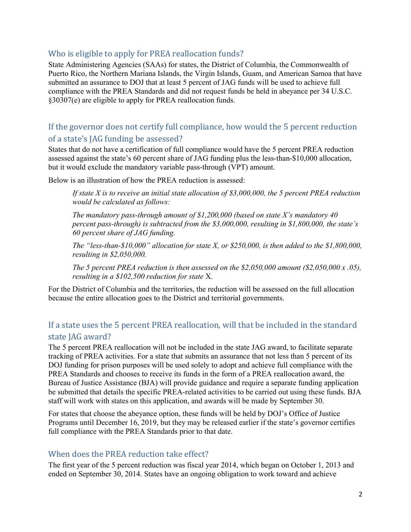### <span id="page-3-0"></span>Who is eligible to apply for PREA reallocation funds?

State Administering Agencies (SAAs) for states, the District of Columbia, the Commonwealth of Puerto Rico, the Northern Mariana Islands, the Virgin Islands, Guam, and American Samoa that have submitted an assurance to DOJ that at least 5 percent of JAG funds will be used to achieve full compliance with the PREA Standards and did not request funds be held in abeyance per 34 U.S.C. §30307(e) are eligible to apply for PREA reallocation funds.

## <span id="page-3-1"></span>If the governor does not certify full compliance, how would the 5 percent reduction of a state's JAG funding be assessed?

States that do not have a certification of full compliance would have the 5 percent PREA reduction assessed against the state's 60 percent share of JAG funding plus the less-than-\$10,000 allocation, but it would exclude the mandatory variable pass-through (VPT) amount.

Below is an illustration of how the PREA reduction is assessed:

*If state X is to receive an initial state allocation of \$3,000,000, the 5 percent PREA reduction would be calculated as follows:*

*The mandatory pass-through amount of \$1,200,000 (based on state X's mandatory 40 percent pass-through) is subtracted from the \$3,000,000, resulting in \$1,800,000, the state's 60 percent share of JAG funding.*

*The "less-than-\$10,000" allocation for state X, or \$250,000, is then added to the \$1,800,000, resulting in \$2,050,000.*

*The 5 percent PREA reduction is then assessed on the \$2,050,000 amount (\$2,050,000 x .05), resulting in a \$102,500 reduction for state* X.

For the District of Columbia and the territories, the reduction will be assessed on the full allocation because the entire allocation goes to the District and territorial governments.

## <span id="page-3-2"></span>If a state uses the 5 percent PREA reallocation, will that be included in the standard state JAG award?

The 5 percent PREA reallocation will not be included in the state JAG award, to facilitate separate tracking of PREA activities. For a state that submits an assurance that not less than 5 percent of its DOJ funding for prison purposes will be used solely to adopt and achieve full compliance with the PREA Standards and chooses to receive its funds in the form of a PREA reallocation award, the Bureau of Justice Assistance (BJA) will provide guidance and require a separate funding application be submitted that details the specific PREA-related activities to be carried out using these funds. BJA staff will work with states on this application, and awards will be made by September 30.

For states that choose the abeyance option, these funds will be held by DOJ's Office of Justice Programs until December 16, 2019, but they may be released earlier if the state's governor certifies full compliance with the PREA Standards prior to that date.

### <span id="page-3-3"></span>When does the PREA reduction take effect?

The first year of the 5 percent reduction was fiscal year 2014, which began on October 1, 2013 and ended on September 30, 2014. States have an ongoing obligation to work toward and achieve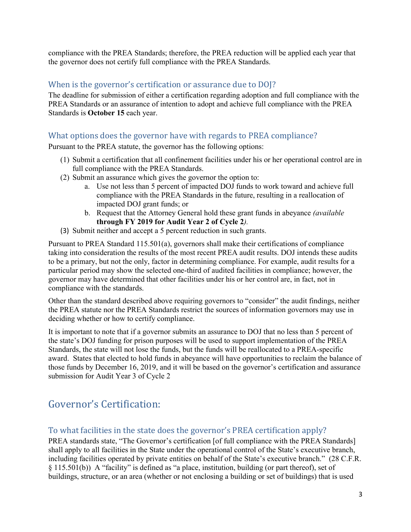compliance with the PREA Standards; therefore, the PREA reduction will be applied each year that the governor does not certify full compliance with the PREA Standards.

### <span id="page-4-0"></span>When is the governor's certification or assurance due to DOJ?

The deadline for submission of either a certification regarding adoption and full compliance with the PREA Standards or an assurance of intention to adopt and achieve full compliance with the PREA Standards is **October 15** each year.

### <span id="page-4-1"></span>What options does the governor have with regards to PREA compliance?

Pursuant to the PREA statute, the governor has the following options:

- (1) Submit a certification that all confinement facilities under his or her operational control are in full compliance with the PREA Standards.
- (2) Submit an assurance which gives the governor the option to:
	- a. Use not less than 5 percent of impacted DOJ funds to work toward and achieve full compliance with the PREA Standards in the future, resulting in a reallocation of impacted DOJ grant funds; or
	- b. Request that the Attorney General hold these grant funds in abeyance *(available*  **through FY 2019 for Audit Year 2 of Cycle 2***).*
- (3) Submit neither and accept a 5 percent reduction in such grants.

Pursuant to PREA Standard 115.501(a), governors shall make their certifications of compliance taking into consideration the results of the most recent PREA audit results. DOJ intends these audits to be a primary, but not the only, factor in determining compliance. For example, audit results for a particular period may show the selected one-third of audited facilities in compliance; however, the governor may have determined that other facilities under his or her control are, in fact, not in compliance with the standards.

Other than the standard described above requiring governors to "consider" the audit findings, neither the PREA statute nor the PREA Standards restrict the sources of information governors may use in deciding whether or how to certify compliance.

It is important to note that if a governor submits an assurance to DOJ that no less than 5 percent of the state's DOJ funding for prison purposes will be used to support implementation of the PREA Standards, the state will not lose the funds, but the funds will be reallocated to a PREA-specific award. States that elected to hold funds in abeyance will have opportunities to reclaim the balance of those funds by December 16, 2019, and it will be based on the governor's certification and assurance submission for Audit Year 3 of Cycle 2

# <span id="page-4-2"></span>Governor's Certification:

### <span id="page-4-3"></span>To what facilities in the state does the governor's PREA certification apply?

PREA standards state, "The Governor's certification [of full compliance with the PREA Standards] shall apply to all facilities in the State under the operational control of the State's executive branch, including facilities operated by private entities on behalf of the State's executive branch." (28 C.F.R. § 115.501(b)) A "facility" is defined as "a place, institution, building (or part thereof), set of buildings, structure, or an area (whether or not enclosing a building or set of buildings) that is used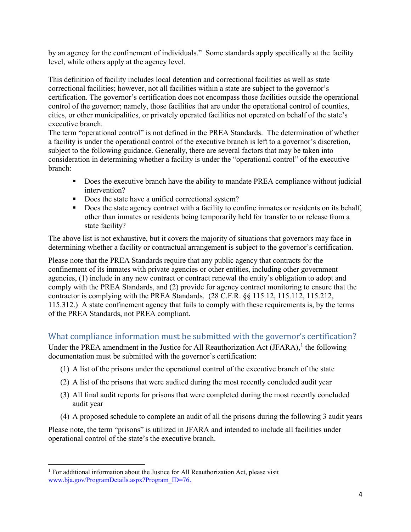by an agency for the confinement of individuals." Some standards apply specifically at the facility level, while others apply at the agency level.

This definition of facility includes local detention and correctional facilities as well as state correctional facilities; however, not all facilities within a state are subject to the governor's certification. The governor's certification does not encompass those facilities outside the operational control of the governor; namely, those facilities that are under the operational control of counties, cities, or other municipalities, or privately operated facilities not operated on behalf of the state's executive branch.

The term "operational control" is not defined in the PREA Standards. The determination of whether a facility is under the operational control of the executive branch is left to a governor's discretion, subject to the following guidance. Generally, there are several factors that may be taken into consideration in determining whether a facility is under the "operational control" of the executive branch:

- Does the executive branch have the ability to mandate PREA compliance without judicial intervention?
- Does the state have a unified correctional system?
- Does the state agency contract with a facility to confine inmates or residents on its behalf, other than inmates or residents being temporarily held for transfer to or release from a state facility?

The above list is not exhaustive, but it covers the majority of situations that governors may face in determining whether a facility or contractual arrangement is subject to the governor's certification.

Please note that the PREA Standards require that any public agency that contracts for the confinement of its inmates with private agencies or other entities, including other government agencies, (1) include in any new contract or contract renewal the entity's obligation to adopt and comply with the PREA Standards, and (2) provide for agency contract monitoring to ensure that the contractor is complying with the PREA Standards. (28 C.F.R. §§ 115.12, 115.112, 115.212, 115.312.) A state confinement agency that fails to comply with these requirements is, by the terms of the PREA Standards, not PREA compliant.

## <span id="page-5-0"></span>What compliance information must be submitted with the governor's certification?

Under the PREA amendment in the Justice for All Reauthorization Act (JFARA), $<sup>1</sup>$  $<sup>1</sup>$  $<sup>1</sup>$  the following</sup> documentation must be submitted with the governor's certification:

- (1) A list of the prisons under the operational control of the executive branch of the state
- (2) A list of the prisons that were audited during the most recently concluded audit year
- (3) All final audit reports for prisons that were completed during the most recently concluded audit year
- (4) A proposed schedule to complete an audit of all the prisons during the following 3 audit years

Please note, the term "prisons" is utilized in JFARA and intended to include all facilities under operational control of the state's the executive branch.

l

<span id="page-5-1"></span> $1$  For additional information about the Justice for All Reauthorization Act, please visit [www.bja.gov/ProgramDetails.aspx?Program\\_ID=76.](http://www.bja.gov/ProgramDetails.aspx?Program_ID=76)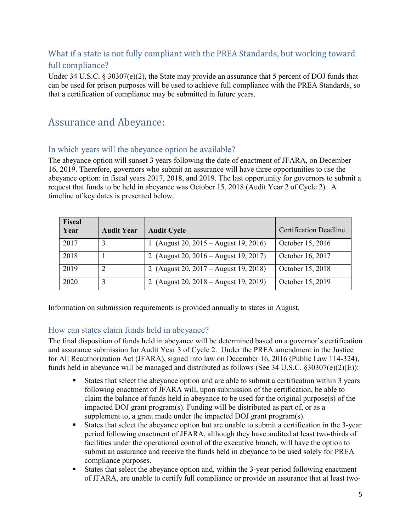## <span id="page-6-0"></span>What if a state is not fully compliant with the PREA Standards, but working toward full compliance?

Under 34 U.S.C. § 30307(e)(2), the State may provide an assurance that 5 percent of DOJ funds that can be used for prison purposes will be used to achieve full compliance with the PREA Standards, so that a certification of compliance may be submitted in future years.

# <span id="page-6-1"></span>Assurance and Abeyance:

### <span id="page-6-2"></span>In which years will the abeyance option be available?

The abeyance option will sunset 3 years following the date of enactment of JFARA, on December 16, 2019. Therefore, governors who submit an assurance will have three opportunities to use the abeyance option: in fiscal years 2017, 2018, and 2019. The last opportunity for governors to submit a request that funds to be held in abeyance was October 15, 2018 (Audit Year 2 of Cycle 2). A timeline of key dates is presented below.

| <b>Fiscal</b><br>Year | <b>Audit Year</b> | <b>Audit Cycle</b>                    | <b>Certification Deadline</b> |
|-----------------------|-------------------|---------------------------------------|-------------------------------|
| 2017                  |                   | (August 20, 2015 – August 19, 2016)   | October 15, 2016              |
| 2018                  |                   | 2 (August 20, 2016 – August 19, 2017) | October 16, 2017              |
| 2019                  | ∍                 | 2 (August 20, 2017 – August 19, 2018) | October 15, 2018              |
| 2020                  |                   | 2 (August 20, 2018 – August 19, 2019) | October 15, 2019              |

Information on submission requirements is provided annually to states in August.

### <span id="page-6-3"></span>How can states claim funds held in abeyance?

The final disposition of funds held in abeyance will be determined based on a governor's certification and assurance submission for Audit Year 3 of Cycle 2. Under the PREA amendment in the Justice for All Reauthorization Act (JFARA), signed into law on December 16, 2016 (Public Law 114-324), funds held in abeyance will be managed and distributed as follows (See 34 U.S.C.  $\S 30307(e)(2)(E)$ ):

- States that select the abeyance option and are able to submit a certification within 3 years following enactment of JFARA will, upon submission of the certification, be able to claim the balance of funds held in abeyance to be used for the original purpose(s) of the impacted DOJ grant program(s). Funding will be distributed as part of, or as a supplement to, a grant made under the impacted DOJ grant program(s).
- States that select the abeyance option but are unable to submit a certification in the 3-year period following enactment of JFARA, although they have audited at least two-thirds of facilities under the operational control of the executive branch, will have the option to submit an assurance and receive the funds held in abeyance to be used solely for PREA compliance purposes.
- States that select the abeyance option and, within the 3-year period following enactment of JFARA, are unable to certify full compliance or provide an assurance that at least two-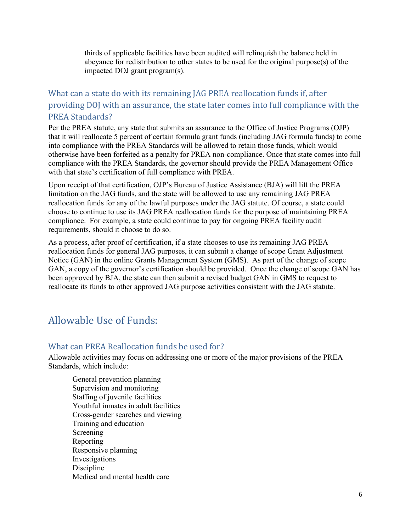thirds of applicable facilities have been audited will relinquish the balance held in abeyance for redistribution to other states to be used for the original purpose(s) of the impacted DOJ grant program(s).

## <span id="page-7-0"></span>What can a state do with its remaining JAG PREA reallocation funds if, after providing DOJ with an assurance, the state later comes into full compliance with the PREA Standards?

Per the PREA statute, any state that submits an assurance to the Office of Justice Programs (OJP) that it will reallocate 5 percent of certain formula grant funds (including JAG formula funds) to come into compliance with the PREA Standards will be allowed to retain those funds, which would otherwise have been forfeited as a penalty for PREA non-compliance. Once that state comes into full compliance with the PREA Standards, the governor should provide the PREA Management Office with that state's certification of full compliance with PREA.

Upon receipt of that certification, OJP's Bureau of Justice Assistance (BJA) will lift the PREA limitation on the JAG funds, and the state will be allowed to use any remaining JAG PREA reallocation funds for any of the lawful purposes under the JAG statute. Of course, a state could choose to continue to use its JAG PREA reallocation funds for the purpose of maintaining PREA compliance. For example, a state could continue to pay for ongoing PREA facility audit requirements, should it choose to do so.

As a process, after proof of certification, if a state chooses to use its remaining JAG PREA reallocation funds for general JAG purposes, it can submit a change of scope Grant Adjustment Notice (GAN) in the online Grants Management System (GMS). As part of the change of scope GAN, a copy of the governor's certification should be provided. Once the change of scope GAN has been approved by BJA, the state can then submit a revised budget GAN in GMS to request to reallocate its funds to other approved JAG purpose activities consistent with the JAG statute.

# <span id="page-7-1"></span>Allowable Use of Funds:

#### <span id="page-7-2"></span>What can PREA Reallocation funds be used for?

Allowable activities may focus on addressing one or more of the major provisions of the PREA Standards, which include:

General prevention planning Supervision and monitoring Staffing of juvenile facilities Youthful inmates in adult facilities Cross-gender searches and viewing Training and education Screening Reporting Responsive planning Investigations Discipline Medical and mental health care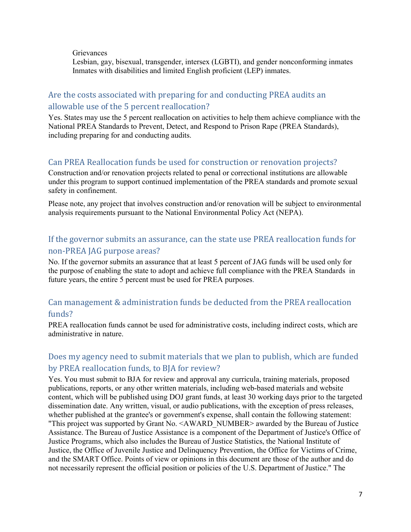**Grievances** 

Lesbian, gay, bisexual, transgender, intersex (LGBTI), and gender nonconforming inmates Inmates with disabilities and limited English proficient (LEP) inmates.

## <span id="page-8-0"></span>Are the costs associated with preparing for and conducting PREA audits an allowable use of the 5 percent reallocation?

Yes. States may use the 5 percent reallocation on activities to help them achieve compliance with the National PREA Standards to Prevent, Detect, and Respond to Prison Rape (PREA Standards), including preparing for and conducting audits.

## <span id="page-8-1"></span>Can PREA Reallocation funds be used for construction or renovation projects?

Construction and/or renovation projects related to penal or correctional institutions are allowable under this program to support continued implementation of the PREA standards and promote sexual safety in confinement.

Please note, any project that involves construction and/or renovation will be subject to environmental analysis requirements pursuant to the National Environmental Policy Act (NEPA).

# <span id="page-8-2"></span>If the governor submits an assurance, can the state use PREA reallocation funds for non-PREA JAG purpose areas?

No. If the governor submits an assurance that at least 5 percent of JAG funds will be used only for the purpose of enabling the state to adopt and achieve full compliance with the PREA Standards in future years, the entire 5 percent must be used for PREA purposes.

## <span id="page-8-3"></span>Can management & administration funds be deducted from the PREA reallocation funds?

PREA reallocation funds cannot be used for administrative costs, including indirect costs, which are administrative in nature.

## <span id="page-8-4"></span>Does my agency need to submit materials that we plan to publish, which are funded by PREA reallocation funds, to BJA for review?

Yes. You must submit to BJA for review and approval any curricula, training materials, proposed publications, reports, or any other written materials, including web-based materials and website content, which will be published using DOJ grant funds, at least 30 working days prior to the targeted dissemination date. Any written, visual, or audio publications, with the exception of press releases, whether published at the grantee's or government's expense, shall contain the following statement: "This project was supported by Grant No. <AWARD\_NUMBER> awarded by the Bureau of Justice Assistance. The Bureau of Justice Assistance is a component of the Department of Justice's Office of Justice Programs, which also includes the Bureau of Justice Statistics, the National Institute of Justice, the Office of Juvenile Justice and Delinquency Prevention, the Office for Victims of Crime, and the SMART Office. Points of view or opinions in this document are those of the author and do not necessarily represent the official position or policies of the U.S. Department of Justice." The